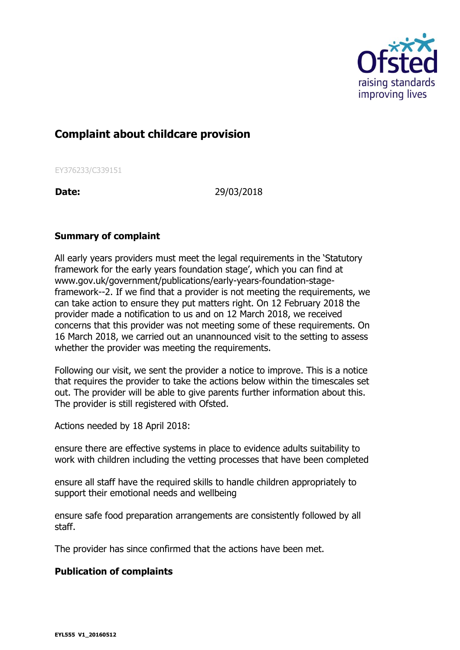

## **Complaint about childcare provision**

EY376233/C339151

**Date:** 29/03/2018

## **Summary of complaint**

All early years providers must meet the legal requirements in the 'Statutory framework for the early years foundation stage', which you can find at www.gov.uk/government/publications/early-years-foundation-stageframework--2. If we find that a provider is not meeting the requirements, we can take action to ensure they put matters right. On 12 February 2018 the provider made a notification to us and on 12 March 2018, we received concerns that this provider was not meeting some of these requirements. On 16 March 2018, we carried out an unannounced visit to the setting to assess whether the provider was meeting the requirements.

Following our visit, we sent the provider a notice to improve. This is a notice that requires the provider to take the actions below within the timescales set out. The provider will be able to give parents further information about this. The provider is still registered with Ofsted.

Actions needed by 18 April 2018:

ensure there are effective systems in place to evidence adults suitability to work with children including the vetting processes that have been completed

ensure all staff have the required skills to handle children appropriately to support their emotional needs and wellbeing

ensure safe food preparation arrangements are consistently followed by all staff.

The provider has since confirmed that the actions have been met.

## **Publication of complaints**